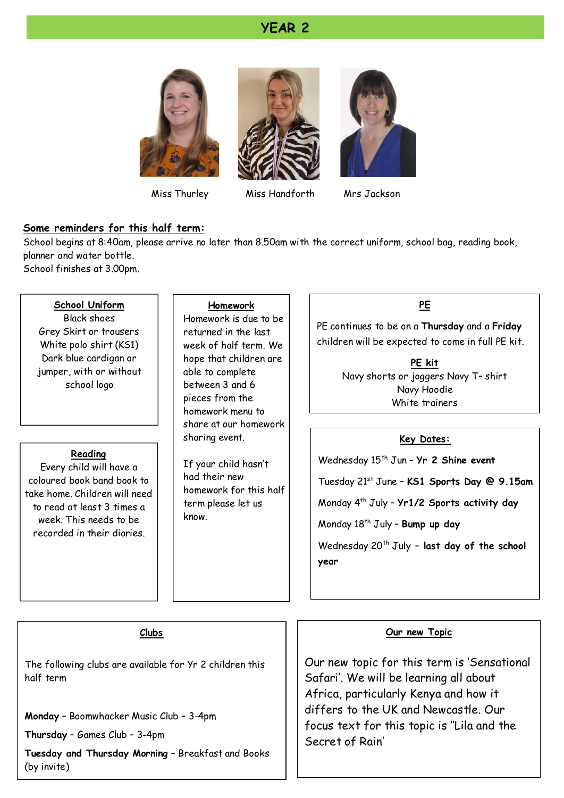#### **YEAR 2**







Miss Thurley Miss Handforth

Mrs Jackson

#### **Some reminders for this half term:**

School begins at 8:40am, please arrive no later than 8.50am with the correct uniform, school bag, reading book, planner and water bottle.

School finishes at 3.00pm.

#### **School Uniform**

Black shoes Grey Skirt or trousers White polo shirt (KS1) Dark blue cardigan or jumper, with or without school logo

#### **Reading**

Every child will have a coloured book band book to take home. Children will need to read at least 3 times a week. This needs to be recorded in their diaries.

#### **Homework**

Homework is due to be returned in the last week of half term. We hope that children are able to complete between 3 and 6 pieces from the homework menu to share at our homework sharing event.

If your child hasn't had their new homework for this half term please let us know.

#### **PE**

PE continues to be on a **Thursday** and a **Friday** children will be expected to come in full PE kit.

> **PE kit** Navy shorts or joggers Navy T– shirt Navy Hoodie White trainers

#### **Key Dates:**

Wednesday 15<sup>th</sup> Jun - Yr 2 Shine event

Tuesday 21st June – **KS1 Sports Day @ 9.15am**

Monday 4 th July – **Yr1/2 Sports activity day**

Monday 18th July – **Bump up day**

Wednesday 20<sup>th</sup> July - last day of the school **year**

#### **Clubs**

The following clubs are available for Yr 2 children this half term

**Monday** – Boomwhacker Music Club – 3-4pm

**Thursday** – Games Club – 3-4pm

**Tuesday and Thursday Morning** – Breakfast and Books (by invite)

#### **Our new Topic**

Our new topic for this term is 'Sensational Safari'. We will be learning all about Africa, particularly Kenya and how it differs to the UK and Newcastle. Our focus text for this topic is ''Lila and the Secret of Rain'